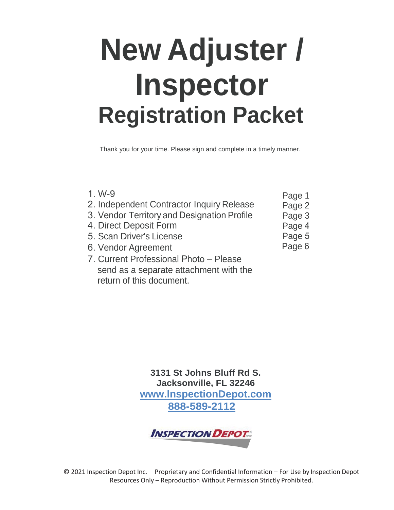# **New Adjuster / Inspector Registration Packet**

Thank you for your time. Please sign and complete in a timely manner.

| $1. W-9$<br>2. Independent Contractor Inquiry Release<br>3. Vendor Territory and Designation Profile<br>4. Direct Deposit Form | Page 1<br>Page 2<br>Page 3<br>Page 4 |
|--------------------------------------------------------------------------------------------------------------------------------|--------------------------------------|
| 5. Scan Driver's License                                                                                                       | Page 5                               |
| 6. Vendor Agreement                                                                                                            | Page 6                               |
| 7. Current Professional Photo - Please                                                                                         |                                      |
| send as a separate attachment with the                                                                                         |                                      |

return of this document.

**3131 St Johns Bluff Rd S. Jacksonville, FL 32246 www.lnspectionDepot.com 888-589-2112**

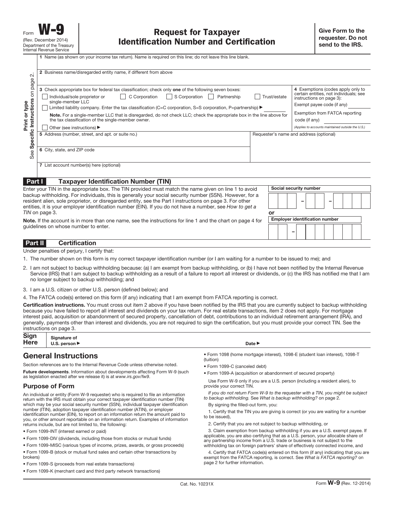| $\sim$<br>page                | 2 Business name/disregarded entity name, if different from above                                                                                                                                                                                                                                                                 |              |                                                                                                         |
|-------------------------------|----------------------------------------------------------------------------------------------------------------------------------------------------------------------------------------------------------------------------------------------------------------------------------------------------------------------------------|--------------|---------------------------------------------------------------------------------------------------------|
| $\overline{5}$                | 3 Check appropriate box for federal tax classification; check only one of the following seven boxes:<br>C Corporation<br>S Corporation<br>Individual/sole proprietor or<br>Partnership<br>single-member LLC                                                                                                                      | Trust/estate | 4 Exemptions (codes apply only to<br>certain entities, not individuals; see<br>instructions on page 3): |
|                               | Limited liability company. Enter the tax classification (C=C corporation, S=S corporation, P=partnership) ▶                                                                                                                                                                                                                      |              | Exempt payee code (if any)                                                                              |
| Instructions<br>Print or type | Note. For a single-member LLC that is disregarded, do not check LLC; check the appropriate box in the line above for<br>the tax classification of the single-member owner.                                                                                                                                                       |              | Exemption from FATCA reporting<br>code (if any)                                                         |
|                               | Other (see instructions) ▶                                                                                                                                                                                                                                                                                                       |              | (Applies to accounts maintained outside the U.S.)                                                       |
| Specific                      | 5 Address (number, street, and apt. or suite no.)                                                                                                                                                                                                                                                                                |              | Requester's name and address (optional)                                                                 |
| See                           | 6 City, state, and ZIP code                                                                                                                                                                                                                                                                                                      |              |                                                                                                         |
|                               | 7 List account number(s) here (optional)                                                                                                                                                                                                                                                                                         |              |                                                                                                         |
| Part I                        | <b>Taxpayer Identification Number (TIN)</b>                                                                                                                                                                                                                                                                                      |              |                                                                                                         |
|                               | Enter your TIN in the appropriate box. The TIN provided must match the name given on line 1 to avoid                                                                                                                                                                                                                             |              | Social security number                                                                                  |
|                               | backup withholding. For individuals, this is generally your social security number (SSN). However, for a<br>resident alien, sole proprietor, or disregarded entity, see the Part I instructions on page 3. For other<br>entities, it is your employer identification number (EIN). If you do not have a number, see How to get a |              |                                                                                                         |
|                               | TIN on page 3.                                                                                                                                                                                                                                                                                                                   | or           |                                                                                                         |
|                               | Note. If the account is in more than one name, see the instructions for line 1 and the chart on page 4 for                                                                                                                                                                                                                       |              | <b>Employer identification number</b>                                                                   |
|                               | quidelines on whose number to enter.                                                                                                                                                                                                                                                                                             |              |                                                                                                         |

#### **Part II Certification**

Under penalties of perjury, I certify that:

- 1. The number shown on this form is my correct taxpayer identification number (or I am waiting for a number to be issued to me); and
- 2. I am not subject to backup withholding because: (a) I am exempt from backup withholding, or (b) I have not been notified by the Internal Revenue Service (IRS) that I am subject to backup withholding as a result of a failure to report all interest or dividends, or (c) the IRS has notified me that I am no longer subject to backup withholding; and
- 3. I am a U.S. citizen or other U.S. person (defined below); and

4. The FATCA code(s) entered on this form (if any) indicating that I am exempt from FATCA reporting is correct.

**Certification instructions.** You must cross out item 2 above if you have been notified by the IRS that you are currently subject to backup withholding because you have failed to report all interest and dividends on your tax return. For real estate transactions, item 2 does not apply. For mortgage interest paid, acquisition or abandonment of secured property, cancellation of debt, contributions to an individual retirement arrangement (IRA), and generally, payments other than interest and dividends, you are not required to sign the certification, but you must provide your correct TIN. See the instructions on page 3.

| Sign Signature of Here $\overline{\phantom{a}}$ U.S. person | Date $\blacktriangleright$ |
|-------------------------------------------------------------|----------------------------|
|                                                             |                            |

#### **General Instructions**

Section references are to the Internal Revenue Code unless otherwise noted.

**Future developments**. Information about developments affecting Form W-9 (such as legislation enacted after we release it) is at www.irs.gov/fw9.

#### **Purpose of Form**

An individual or entity (Form W-9 requester) who is required to file an information return with the IRS must obtain your correct taxpayer identification number (TIN) which may be your social security number (SSN), individual taxpayer identification number (ITIN), adoption taxpayer identification number (ATIN), or employer identification number (EIN), to report on an information return the amount paid to you, or other amount reportable on an information return. Examples of information returns include, but are not limited to, the following:

- Form 1099-INT (interest earned or paid)
- Form 1099-DIV (dividends, including those from stocks or mutual funds)
- Form 1099-MISC (various types of income, prizes, awards, or gross proceeds)
- Form 1099-B (stock or mutual fund sales and certain other transactions by brokers)
- Form 1099-S (proceeds from real estate transactions)
- Form 1099-K (merchant card and third party network transactions)

- Form 1098 (home mortgage interest), 1098-E (student loan interest), 1098-T (tuition)
- Form 1099-C (canceled debt)
- Form 1099-A (acquisition or abandonment of secured property)

Use Form W-9 only if you are a U.S. person (including a resident alien), to provide your correct TIN.

If you do not return Form W-9 to the requester with a TIN, you might be subject to backup withholding. See What is backup withholding? on page 2.

By signing the filled-out form, you:

1. Certify that the TIN you are giving is correct (or you are waiting for a number to be issued),

2. Certify that you are not subject to backup withholding, or

3. Claim exemption from backup withholding if you are a U.S. exempt payee. If applicable, you are also certifying that as a U.S. person, your allocable share of any partnership income from a U.S. trade or business is not subject to the withholding tax on foreign partners' share of effectively connected income, and

4. Certify that FATCA code(s) entered on this form (if any) indicating that you are exempt from the FATCA reporting, is correct. See What is FATCA reporting? on page 2 for further information.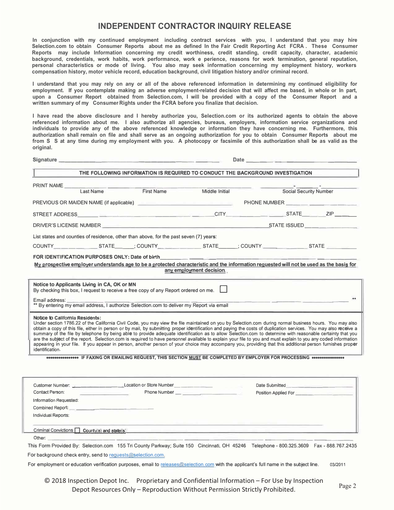# **INDEPENDENT CONTRACTOR INQUIRY RELEASE**

In conjunction with my continued employment including contract services with you, I understand that you may hire Selection.com to obtain Consumer Reports about me as defined In the Fair Credit Reporting Act FCRA. These Consumer Reports may include Information concerning my credit worthiness, credit standing, credit capacity, character, academic background, credentials, work habits, work performance, work e perience, reasons for work termination, general reputation, personal characteristics or mode of living. You also may seek information concerning my employment history, workers compensation history, motor vehicle record, education background, civil litigation history and/or criminal record.

I understand that vou may rely on any or all of the above referenced information in determining my continued eligibility for employment. If you contemplate making an adverse employment-related decision that will affect me based, in whole or In part, upon a Consumer Report obtained from Selection.com, I will be provided with a copy of the Consumer Report and a written summary of my Consumer Rights under the FCRA before you finalize that decision.

I have read the above disclosure and I hereby authorize you. Selection.com or its authorized agents to obtain the above referenced information about me. I also authorize all agencies, bureaus, employers, information service organizations and individuals to provide any of the above referenced knowledge or information they have concerning me. Furthermore, this authorization shall remain on file and shall serve as an ongoing authorization for you to obtain Consumer Reports about me from S S at any time during my employment with you. A photocopy or facsimile of this authorization shall be as valid as the original.

|                                                                                                                                                                                                                                                                                                                                                                                                                                                                                                                                                                                                                                                                                                                                                                                                                           | THE FOLLOWING INFORMATION IS REQUIRED TO CONDUCT THE BACKGROUND INVESTIGATION. |                          |                                    |  |
|---------------------------------------------------------------------------------------------------------------------------------------------------------------------------------------------------------------------------------------------------------------------------------------------------------------------------------------------------------------------------------------------------------------------------------------------------------------------------------------------------------------------------------------------------------------------------------------------------------------------------------------------------------------------------------------------------------------------------------------------------------------------------------------------------------------------------|--------------------------------------------------------------------------------|--------------------------|------------------------------------|--|
| PRINT NAME<br>Last Name                                                                                                                                                                                                                                                                                                                                                                                                                                                                                                                                                                                                                                                                                                                                                                                                   | First Name                                                                     | Middle Initial           | <b>Social Security Number</b>      |  |
| PREVIOUS OR MAIDEN NAME (if applicable) <b>And Construction Construction Construction</b> PHONE NUMBER <b>______</b> __________                                                                                                                                                                                                                                                                                                                                                                                                                                                                                                                                                                                                                                                                                           |                                                                                |                          |                                    |  |
|                                                                                                                                                                                                                                                                                                                                                                                                                                                                                                                                                                                                                                                                                                                                                                                                                           |                                                                                |                          |                                    |  |
| DRIVER'S LICENSE NUMBER THE RESOLUTION OF STATE ISSUED                                                                                                                                                                                                                                                                                                                                                                                                                                                                                                                                                                                                                                                                                                                                                                    |                                                                                |                          |                                    |  |
| List states and counties of residence, other than above, for the past seven (7) years:                                                                                                                                                                                                                                                                                                                                                                                                                                                                                                                                                                                                                                                                                                                                    |                                                                                |                          |                                    |  |
| COUNTY_____________STATE______; COUNTY_______________STATE_______; COUNTY________________STATE ___________                                                                                                                                                                                                                                                                                                                                                                                                                                                                                                                                                                                                                                                                                                                |                                                                                |                          |                                    |  |
| FOR IDENTIFICATION PURPOSES ONLY: Date of birth <b>Contract Contract Contract Contract Contract Contract Contract Contract Contract Contract Contract Contract Contract Contract Contract Contract Contract Contract Contract Co</b><br>My prospective employer understands age to be a protected characteristic and the information requested will not be used as the basis for                                                                                                                                                                                                                                                                                                                                                                                                                                          |                                                                                |                          |                                    |  |
|                                                                                                                                                                                                                                                                                                                                                                                                                                                                                                                                                                                                                                                                                                                                                                                                                           |                                                                                | any employment decision. |                                    |  |
| <b>Notice to California Residents:</b>                                                                                                                                                                                                                                                                                                                                                                                                                                                                                                                                                                                                                                                                                                                                                                                    |                                                                                |                          |                                    |  |
| Under section 1786.22 of the California Civil Code, you may view the file maintained on you by Selection.com during normal business hours. You may also<br>obtain a copy of this file, either in person or by mail, by submitting proper identification and paying the costs of duplication services. You may also receive a<br>summary of the file by telephone by being able to provide adequate identification as to allow Selection.com to determine with reasonable certainty that you<br>are the subject of the report. Selection.com is required to have personnel available to explain your file to you and must explain to you any coded information<br>appearing in your file. If you appear in person, another person of your choice may accompany you, providing that this additional person furnishes proper |                                                                                |                          |                                    |  |
| <b>8000000000000000 IF FAXING OR EMAILING REQUEST, THIS SECTION MUST BE COMPLETED BY EMPLOYER FOR PROCESSING 80000000000000</b>                                                                                                                                                                                                                                                                                                                                                                                                                                                                                                                                                                                                                                                                                           |                                                                                |                          |                                    |  |
|                                                                                                                                                                                                                                                                                                                                                                                                                                                                                                                                                                                                                                                                                                                                                                                                                           |                                                                                |                          | Date Submitted <b>Example 2014</b> |  |
| and the company of the company of                                                                                                                                                                                                                                                                                                                                                                                                                                                                                                                                                                                                                                                                                                                                                                                         |                                                                                |                          | Position Applied For               |  |
| identification.<br>Customer Number: Customer Number: Customer Number Number Number Number Number Number Number Number Number Number Number Number Number Number Number Number Number Number Number Number Number Number Number Number Number Numb<br>Contact Person:<br>Information Requested:                                                                                                                                                                                                                                                                                                                                                                                                                                                                                                                            |                                                                                |                          |                                    |  |
|                                                                                                                                                                                                                                                                                                                                                                                                                                                                                                                                                                                                                                                                                                                                                                                                                           |                                                                                |                          |                                    |  |
| Individual Reports:<br>Criminal Convictions   County(s) and state(s)                                                                                                                                                                                                                                                                                                                                                                                                                                                                                                                                                                                                                                                                                                                                                      |                                                                                |                          |                                    |  |

For employment or education verification purposes, email to <u>releases@selection.com</u> with the applicant's full name in the subject line  $03/2011$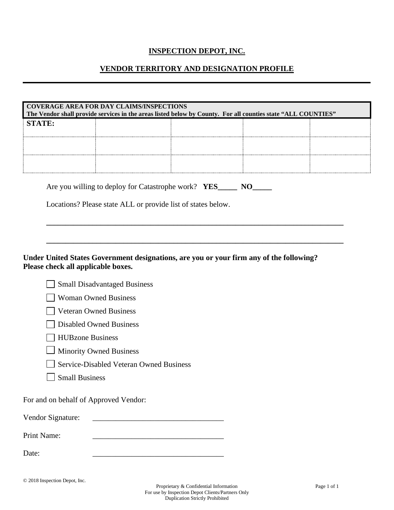# **INSPECTION DEPOT, INC.**

# **VENDOR TERRITORY AND DESIGNATION PROFILE**

|        | COVERAGE AREA FOR DAY CLAIMS/INSPECTIONS<br>The Vendor shall provide services in the areas listed below by County. For all counties state "ALL COUNTIES" |  |  |  |
|--------|----------------------------------------------------------------------------------------------------------------------------------------------------------|--|--|--|
| STATE: |                                                                                                                                                          |  |  |  |
|        |                                                                                                                                                          |  |  |  |
|        |                                                                                                                                                          |  |  |  |

**\_\_\_\_\_\_\_\_\_\_\_\_\_\_\_\_\_\_\_\_\_\_\_\_\_\_\_\_\_\_\_\_\_\_\_\_\_\_\_\_\_\_\_\_\_\_\_\_\_\_\_\_\_\_\_\_\_\_\_\_\_\_\_\_\_\_\_\_\_\_\_\_\_\_\_\_\_** 

**\_\_\_\_\_\_\_\_\_\_\_\_\_\_\_\_\_\_\_\_\_\_\_\_\_\_\_\_\_\_\_\_\_\_\_\_\_\_\_\_\_\_\_\_\_\_\_\_\_\_\_\_\_\_\_\_\_\_\_\_\_\_\_\_\_\_\_\_\_\_\_\_\_\_\_\_\_** 

|  |  | Are you willing to deploy for Catastrophe work? YES_ |  | NO. |
|--|--|------------------------------------------------------|--|-----|
|--|--|------------------------------------------------------|--|-----|

Locations? Please state ALL or provide list of states below.

#### **Under United States Government designations, are you or your firm any of the following? Please check all applicable boxes.**

|  |  | Small Disadvantaged Business |  |
|--|--|------------------------------|--|
|--|--|------------------------------|--|

Woman Owned Business

**Veteran Owned Business** 

Disabled Owned Business

- **HUBzone Business**
- **Minority Owned Business**
- $\mathbb{R}^n$ Service-Disabled Veteran Owned Business
- Small Business

For and on behalf of Approved Vendor:

Vendor Signature:

Print Name:

Date: \_\_\_\_\_\_\_\_\_\_\_\_\_\_\_\_\_\_\_\_\_\_\_\_\_\_\_\_\_\_\_\_\_\_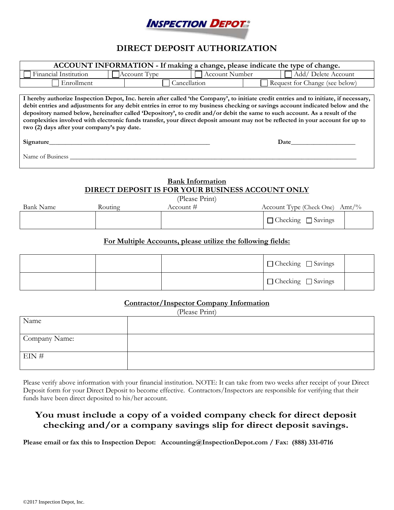

# **DIRECT DEPOSIT AUTHORIZATION**

| ACCOUNT INFORMATION - If making a change, please indicate the type of change.                                                                                                                                                                                                                                                                                                                                                                                                                                                                                                               |                                                                                                                                                                                                                                     |                                |  |
|---------------------------------------------------------------------------------------------------------------------------------------------------------------------------------------------------------------------------------------------------------------------------------------------------------------------------------------------------------------------------------------------------------------------------------------------------------------------------------------------------------------------------------------------------------------------------------------------|-------------------------------------------------------------------------------------------------------------------------------------------------------------------------------------------------------------------------------------|--------------------------------|--|
| Financial Institution<br>Account Number   □ Add/ Delete Account<br>Account Type                                                                                                                                                                                                                                                                                                                                                                                                                                                                                                             |                                                                                                                                                                                                                                     |                                |  |
| Enrollment                                                                                                                                                                                                                                                                                                                                                                                                                                                                                                                                                                                  | Cancellation                                                                                                                                                                                                                        | Request for Change (see below) |  |
|                                                                                                                                                                                                                                                                                                                                                                                                                                                                                                                                                                                             |                                                                                                                                                                                                                                     |                                |  |
| I hereby authorize Inspection Depot, Inc. herein after called 'the Company', to initiate credit entries and to initiate, if necessary,<br>debit entries and adjustments for any debit entries in error to my business checking or savings account indicated below and the<br>depository named below, hereinafter called 'Depository', to credit and/or debit the same to such account. As a result of the<br>complexities involved with electronic funds transfer, your direct deposit amount may not be reflected in your account for up to<br>two (2) days after your company's pay date. |                                                                                                                                                                                                                                     |                                |  |
| Signature_                                                                                                                                                                                                                                                                                                                                                                                                                                                                                                                                                                                  | <b>Date</b> and the same of the same of the same of the same of the same of the same of the same of the same of the same of the same of the same of the same of the same of the same of the same of the same of the same of the sam |                                |  |
| Name of Business                                                                                                                                                                                                                                                                                                                                                                                                                                                                                                                                                                            |                                                                                                                                                                                                                                     |                                |  |
| <b>Bank Information</b><br>DIRECT DEPOSIT IS FOR YOUR BUSINESS ACCOUNT ONLY<br>(D <sub>base</sub> Print)                                                                                                                                                                                                                                                                                                                                                                                                                                                                                    |                                                                                                                                                                                                                                     |                                |  |

(Please Print)

| <b>Bank Name</b> | Routing | Account # | Account Type (Check One)<br>Amt/% |
|------------------|---------|-----------|-----------------------------------|
|                  |         |           | $\Box$ Checking<br>Savings        |

#### **For Multiple Accounts, please utilize the following fields:**

|  | $\Box$ Checking $\Box$ Savings |  |
|--|--------------------------------|--|
|  | □ Checking □ Savings           |  |

#### **Contractor/Inspector Company Information**

| $\overline{\phantom{a}}$<br>(Please Print) |  |  |
|--------------------------------------------|--|--|
| Name                                       |  |  |
|                                            |  |  |
| Company Name:                              |  |  |
|                                            |  |  |
| $EIN \#$                                   |  |  |
|                                            |  |  |

Please verify above information with your financial institution. NOTE: It can take from two weeks after receipt of your Direct Deposit form for your Direct Deposit to become effective. Contractors/Inspectors are responsible for verifying that their funds have been direct deposited to his/her account.

# **You must include a copy of a voided company check for direct deposit checking and/or a company savings slip for direct deposit savings.**

**Please email or fax this to Inspection Depot: Accounting@InspectionDepot.com / Fax: (888) 331-0716**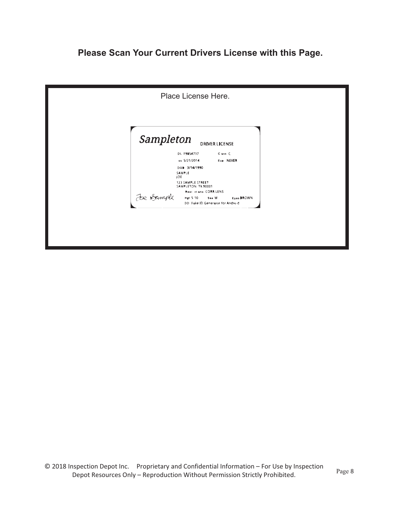# **Please Scan Your Current Drivers License with this Page.**

|           | Place License Here.                                                                                                                           |
|-----------|-----------------------------------------------------------------------------------------------------------------------------------------------|
| Sampleton | <b>DRIVER LICENSE</b>                                                                                                                         |
|           | DL F9854737<br>Cass C<br>ss 5/21/2014<br><b>EIP NEVER</b><br>DOD 3/14/1990<br>SAMPLE<br>JOE<br><b>123 SAMPLE STREET</b><br>SAMPLETON TX 90001 |
| Je Sample | <b>Rest cliens CORR LENS</b><br>Hg(5,10)<br>Sea M<br>Eyes DROWN<br>DD. Fake ID Generator for Andro d                                          |
|           |                                                                                                                                               |
|           |                                                                                                                                               |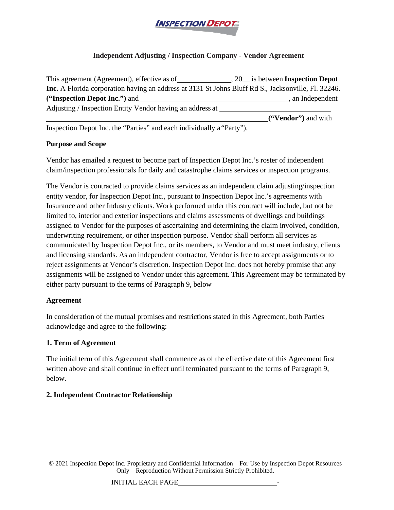

# **Independent Adjusting / Inspection Company - Vendor Agreement**

| This agreement (Agreement), effective as of                                                                |  | , 20 is between <b>Inspection Depot</b> |
|------------------------------------------------------------------------------------------------------------|--|-----------------------------------------|
| <b>Inc.</b> A Florida corporation having an address at 3131 St Johns Bluff Rd S., Jacksonville, Fl. 32246. |  |                                         |
| ("Inspection Depot Inc.") and                                                                              |  | , an Independent                        |
| Adjusting / Inspection Entity Vendor having an address at                                                  |  |                                         |
|                                                                                                            |  | ("Vendor") and with                     |

Inspection Depot Inc. the "Parties" and each individually a "Party").

# **Purpose and Scope**

Vendor has emailed a request to become part of Inspection Depot Inc.'s roster of independent claim/inspection professionals for daily and catastrophe claims services or inspection programs.

The Vendor is contracted to provide claims services as an independent claim adjusting/inspection entity vendor, for Inspection Depot Inc., pursuant to Inspection Depot Inc.'s agreements with Insurance and other Industry clients. Work performed under this contract will include, but not be limited to, interior and exterior inspections and claims assessments of dwellings and buildings assigned to Vendor for the purposes of ascertaining and determining the claim involved, condition, underwriting requirement, or other inspection purpose. Vendor shall perform all services as communicated by Inspection Depot Inc., or its members, to Vendor and must meet industry, clients and licensing standards. As an independent contractor, Vendor is free to accept assignments or to reject assignments at Vendor's discretion. Inspection Depot Inc. does not hereby promise that any assignments will be assigned to Vendor under this agreement. This Agreement may be terminated by either party pursuant to the terms of Paragraph 9, below

# **Agreement**

In consideration of the mutual promises and restrictions stated in this Agreement, both Parties acknowledge and agree to the following:

# **1. Term of Agreement**

The initial term of this Agreement shall commence as of the effective date of this Agreement first written above and shall continue in effect until terminated pursuant to the terms of Paragraph 9, below.

# **2. Independent Contractor Relationship**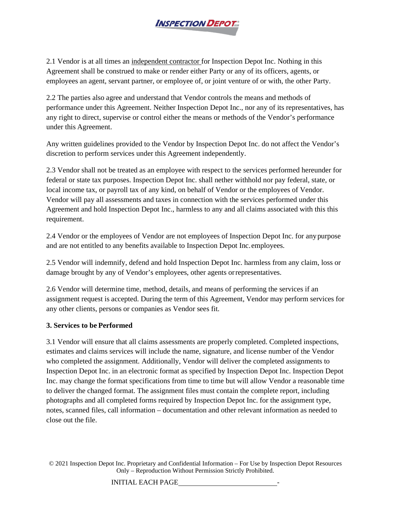

2.1 Vendor is at all times an independent contractor for Inspection Depot Inc. Nothing in this Agreement shall be construed to make or render either Party or any of its officers, agents, or employees an agent, servant partner, or employee of, or joint venture of or with, the other Party.

2.2 The parties also agree and understand that Vendor controls the means and methods of performance under this Agreement. Neither Inspection Depot Inc., nor any of its representatives, has any right to direct, supervise or control either the means or methods of the Vendor's performance under this Agreement.

Any written guidelines provided to the Vendor by Inspection Depot Inc. do not affect the Vendor's discretion to perform services under this Agreement independently.

2.3 Vendor shall not be treated as an employee with respect to the services performed hereunder for federal or state tax purposes. Inspection Depot Inc. shall nether withhold nor pay federal, state, or local income tax, or payroll tax of any kind, on behalf of Vendor or the employees of Vendor. Vendor will pay all assessments and taxes in connection with the services performed under this Agreement and hold Inspection Depot Inc., harmless to any and all claims associated with this this requirement.

2.4 Vendor or the employees of Vendor are not employees of Inspection Depot Inc. for anypurpose and are not entitled to any benefits available to Inspection Depot Inc.employees.

2.5 Vendor will indemnify, defend and hold Inspection Depot Inc. harmless from any claim, loss or damage brought by any of Vendor's employees, other agents orrepresentatives.

2.6 Vendor will determine time, method, details, and means of performing the services if an assignment request is accepted. During the term of this Agreement, Vendor may perform services for any other clients, persons or companies as Vendor sees fit.

# **3. Services to be Performed**

3.1 Vendor will ensure that all claims assessments are properly completed. Completed inspections, estimates and claims services will include the name, signature, and license number of the Vendor who completed the assignment. Additionally, Vendor will deliver the completed assignments to Inspection Depot Inc. in an electronic format as specified by Inspection Depot Inc. Inspection Depot Inc. may change the format specifications from time to time but will allow Vendor a reasonable time to deliver the changed format. The assignment files must contain the complete report, including photographs and all completed forms required by Inspection Depot Inc. for the assignment type, notes, scanned files, call information – documentation and other relevant information as needed to close out the file.

© 2021 Inspection Depot Inc. Proprietary and Confidential Information – For Use by Inspection Depot Resources Only – Reproduction Without Permission Strictly Prohibited.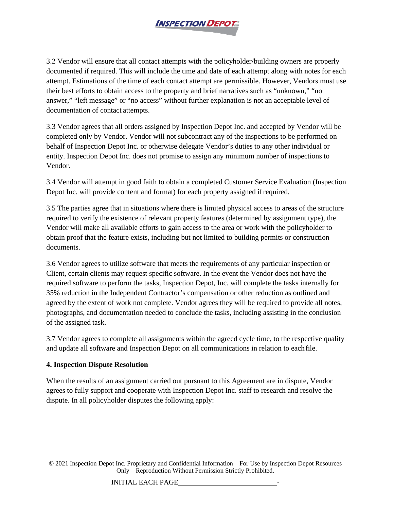

3.2 Vendor will ensure that all contact attempts with the policyholder/building owners are properly documented if required. This will include the time and date of each attempt along with notes for each attempt. Estimations of the time of each contact attempt are permissible. However, Vendors must use their best efforts to obtain access to the property and brief narratives such as "unknown," "no answer," "left message" or "no access" without further explanation is not an acceptable level of documentation of contact attempts.

3.3 Vendor agrees that all orders assigned by Inspection Depot Inc. and accepted by Vendor will be completed only by Vendor. Vendor will not subcontract any of the inspections to be performed on behalf of Inspection Depot Inc. or otherwise delegate Vendor's duties to any other individual or entity. Inspection Depot Inc. does not promise to assign any minimum number of inspections to Vendor.

3.4 Vendor will attempt in good faith to obtain a completed Customer Service Evaluation (Inspection Depot Inc. will provide content and format) for each property assigned ifrequired.

3.5 The parties agree that in situations where there is limited physical access to areas of the structure required to verify the existence of relevant property features (determined by assignment type), the Vendor will make all available efforts to gain access to the area or work with the policyholder to obtain proof that the feature exists, including but not limited to building permits or construction documents.

3.6 Vendor agrees to utilize software that meets the requirements of any particular inspection or Client, certain clients may request specific software. In the event the Vendor does not have the required software to perform the tasks, Inspection Depot, Inc. will complete the tasks internally for 35% reduction in the Independent Contractor's compensation or other reduction as outlined and agreed by the extent of work not complete. Vendor agrees they will be required to provide all notes, photographs, and documentation needed to conclude the tasks, including assisting in the conclusion of the assigned task.

3.7 Vendor agrees to complete all assignments within the agreed cycle time, to the respective quality and update all software and Inspection Depot on all communications in relation to eachfile.

# **4. Inspection Dispute Resolution**

When the results of an assignment carried out pursuant to this Agreement are in dispute, Vendor agrees to fully support and cooperate with Inspection Depot Inc. staff to research and resolve the dispute. In all policyholder disputes the following apply: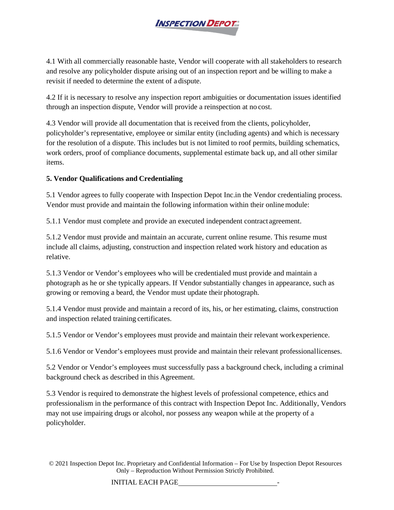

4.1 With all commercially reasonable haste, Vendor will cooperate with all stakeholders to research and resolve any policyholder dispute arising out of an inspection report and be willing to make a revisit if needed to determine the extent of a dispute.

4.2 If it is necessary to resolve any inspection report ambiguities or documentation issues identified through an inspection dispute, Vendor will provide a reinspection at no cost.

4.3 Vendor will provide all documentation that is received from the clients, policyholder, policyholder's representative, employee or similar entity (including agents) and which is necessary for the resolution of a dispute. This includes but is not limited to roof permits, building schematics, work orders, proof of compliance documents, supplemental estimate back up, and all other similar items.

# **5. Vendor Qualifications and Credentialing**

5.1 Vendor agrees to fully cooperate with Inspection Depot Inc.in the Vendor credentialing process. Vendor must provide and maintain the following information within their onlinemodule:

5.1.1 Vendor must complete and provide an executed independent contract agreement.

5.1.2 Vendor must provide and maintain an accurate, current online resume. This resume must include all claims, adjusting, construction and inspection related work history and education as relative.

5.1.3 Vendor or Vendor's employees who will be credentialed must provide and maintain a photograph as he or she typically appears. If Vendor substantially changes in appearance, such as growing or removing a beard, the Vendor must update their photograph.

5.1.4 Vendor must provide and maintain a record of its, his, or her estimating, claims, construction and inspection related training certificates.

5.1.5 Vendor or Vendor's employees must provide and maintain their relevant workexperience.

5.1.6 Vendor or Vendor's employees must provide and maintain their relevant professionallicenses.

5.2 Vendor or Vendor's employees must successfully pass a background check, including a criminal background check as described in this Agreement.

5.3 Vendor is required to demonstrate the highest levels of professional competence, ethics and professionalism in the performance of this contract with Inspection Depot Inc. Additionally, Vendors may not use impairing drugs or alcohol, nor possess any weapon while at the property of a policyholder.

© 2021 Inspection Depot Inc. Proprietary and Confidential Information – For Use by Inspection Depot Resources Only – Reproduction Without Permission Strictly Prohibited.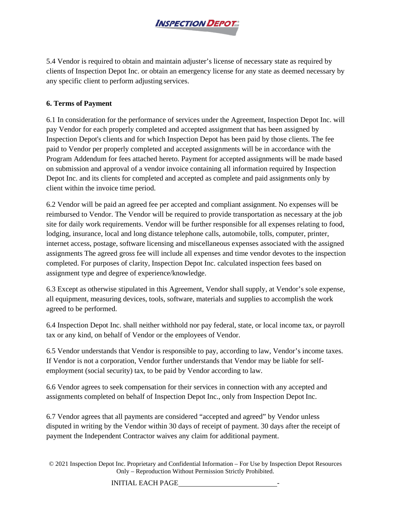

5.4 Vendor is required to obtain and maintain adjuster's license of necessary state as required by clients of Inspection Depot Inc. or obtain an emergency license for any state as deemed necessary by any specific client to perform adjusting services.

# **6. Terms of Payment**

6.1 In consideration for the performance of services under the Agreement, Inspection Depot Inc. will pay Vendor for each properly completed and accepted assignment that has been assigned by Inspection Depot's clients and for which Inspection Depot has been paid by those clients. The fee paid to Vendor per properly completed and accepted assignments will be in accordance with the Program Addendum for fees attached hereto. Payment for accepted assignments will be made based on submission and approval of a vendor invoice containing all information required by Inspection Depot Inc. and its clients for completed and accepted as complete and paid assignments only by client within the invoice time period.

6.2 Vendor will be paid an agreed fee per accepted and compliant assignment. No expenses will be reimbursed to Vendor. The Vendor will be required to provide transportation as necessary at the job site for daily work requirements. Vendor will be further responsible for all expenses relating to food, lodging, insurance, local and long distance telephone calls, automobile, tolls, computer, printer, internet access, postage, software licensing and miscellaneous expenses associated with the assigned assignments The agreed gross fee will include all expenses and time vendor devotes to the inspection completed. For purposes of clarity, Inspection Depot Inc. calculated inspection fees based on assignment type and degree of experience/knowledge.

6.3 Except as otherwise stipulated in this Agreement, Vendor shall supply, at Vendor's sole expense, all equipment, measuring devices, tools, software, materials and supplies to accomplish the work agreed to be performed.

6.4 Inspection Depot Inc. shall neither withhold nor pay federal, state, or local income tax, or payroll tax or any kind, on behalf of Vendor or the employees of Vendor.

6.5 Vendor understands that Vendor is responsible to pay, according to law, Vendor's income taxes. If Vendor is not a corporation, Vendor further understands that Vendor may be liable for selfemployment (social security) tax, to be paid by Vendor according to law.

6.6 Vendor agrees to seek compensation for their services in connection with any accepted and assignments completed on behalf of Inspection Depot Inc., only from Inspection Depot Inc.

6.7 Vendor agrees that all payments are considered "accepted and agreed" by Vendor unless disputed in writing by the Vendor within 30 days of receipt of payment. 30 days after the receipt of payment the Independent Contractor waives any claim for additional payment.

© 2021 Inspection Depot Inc. Proprietary and Confidential Information – For Use by Inspection Depot Resources Only – Reproduction Without Permission Strictly Prohibited.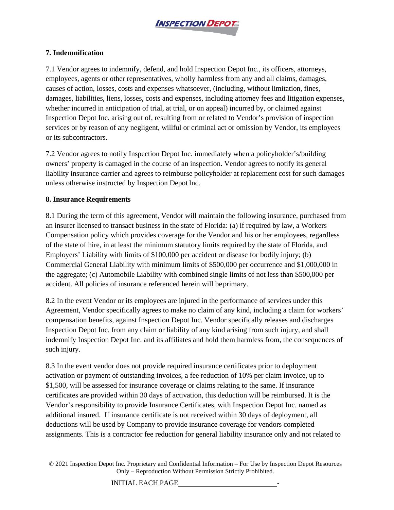

# **7. Indemnification**

7.1 Vendor agrees to indemnify, defend, and hold Inspection Depot Inc., its officers, attorneys, employees, agents or other representatives, wholly harmless from any and all claims, damages, causes of action, losses, costs and expenses whatsoever, (including, without limitation, fines, damages, liabilities, liens, losses, costs and expenses, including attorney fees and litigation expenses, whether incurred in anticipation of trial, at trial, or on appeal) incurred by, or claimed against Inspection Depot Inc. arising out of, resulting from or related to Vendor's provision of inspection services or by reason of any negligent, willful or criminal act or omission by Vendor, its employees or its subcontractors.

7.2 Vendor agrees to notify Inspection Depot Inc. immediately when a policyholder's/building owners' property is damaged in the course of an inspection. Vendor agrees to notify its general liability insurance carrier and agrees to reimburse policyholder at replacement cost for such damages unless otherwise instructed by Inspection Depot Inc.

#### **8. Insurance Requirements**

8.1 During the term of this agreement, Vendor will maintain the following insurance, purchased from an insurer licensed to transact business in the state of Florida: (a) if required by law, a Workers Compensation policy which provides coverage for the Vendor and his or her employees, regardless of the state of hire, in at least the minimum statutory limits required by the state of Florida, and Employers' Liability with limits of \$100,000 per accident or disease for bodily injury; (b) Commercial General Liability with minimum limits of \$500,000 per occurrence and \$1,000,000 in the aggregate; (c) Automobile Liability with combined single limits of not less than \$500,000 per accident. All policies of insurance referenced herein will beprimary.

8.2 In the event Vendor or its employees are injured in the performance of services under this Agreement, Vendor specifically agrees to make no claim of any kind, including a claim for workers' compensation benefits, against Inspection Depot Inc. Vendor specifically releases and discharges Inspection Depot Inc. from any claim or liability of any kind arising from such injury, and shall indemnify Inspection Depot Inc. and its affiliates and hold them harmless from, the consequences of such injury.

8.3 In the event vendor does not provide required insurance certificates prior to deployment activation or payment of outstanding invoices, a fee reduction of 10% per claim invoice, up to \$1,500, will be assessed for insurance coverage or claims relating to the same. If insurance certificates are provided within 30 days of activation, this deduction will be reimbursed. It is the Vendor's responsibility to provide Insurance Certificates, with Inspection Depot Inc. named as additional insured. If insurance certificate is not received within 30 days of deployment, all deductions will be used by Company to provide insurance coverage for vendors completed assignments. This is a contractor fee reduction for general liability insurance only and not related to

© 2021 Inspection Depot Inc. Proprietary and Confidential Information – For Use by Inspection Depot Resources Only – Reproduction Without Permission Strictly Prohibited.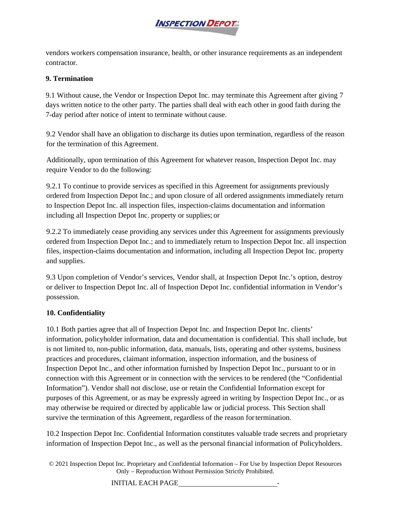

vendors workers compensation insurance, health, or other insurance requirements as an independent contractor.

# **9. Termination**

9.1 Without cause, the Vendor or Inspection Depot Inc. may terminate this Agreement after giving 7 days written notice to the other party. The parties shall deal with each other in good faith during the 7-day period after notice of intent to terminate without cause.

9.2 Vendor shall have an obligation to discharge its duties upon termination, regardless of the reason for the termination of this Agreement.

Additionally, upon termination of this Agreement for whatever reason, Inspection Depot Inc. may require Vendor to do the following:

9.2.1 To continue to provide services as specified in this Agreement for assignments previously ordered from Inspection Depot Inc.; and upon closure of all ordered assignments immediately return to Inspection Depot Inc. all inspection files, inspection-claims documentation and information including all Inspection Depot Inc. property or supplies; or

9.2.2 To immediately cease providing any services under this Agreement for assignments previously ordered from Inspection Depot Inc.; and to immediately return to Inspection Depot Inc. all inspection files, inspection-claims documentation and information, including all Inspection Depot Inc. property and supplies.

9.3 Upon completion of Vendor's services, Vendor shall, at Inspection Depot Inc.'s option, destroy or deliver to Inspection Depot Inc. all of Inspection Depot Inc. confidential information in Vendor's possession.

# **10. Confidentiality**

10.1 Both parties agree that all of Inspection Depot Inc. and Inspection Depot Inc. clients' information, policyholder information, data and documentation is confidential. This shall include, but is not limited to, non-public information, data, manuals, lists, operating and other systems, business practices and procedures, claimant information, inspection information, and the business of Inspection Depot Inc., and other information furnished by Inspection Depot Inc., pursuant to or in connection with this Agreement or in connection with the services to be rendered (the "Confidential Information"). Vendor shall not disclose, use or retain the Confidential Information except for purposes of this Agreement, or as may be expressly agreed in writing by Inspection Depot Inc., or as may otherwise be required or directed by applicable law or judicial process. This Section shall survive the termination of this Agreement, regardless of the reason fortermination.

10.2 Inspection Depot Inc. Confidential Information constitutes valuable trade secrets and proprietary information of Inspection Depot Inc., as well as the personal financial information of Policyholders.

© 2021 Inspection Depot Inc. Proprietary and Confidential Information – For Use by Inspection Depot Resources Only – Reproduction Without Permission Strictly Prohibited.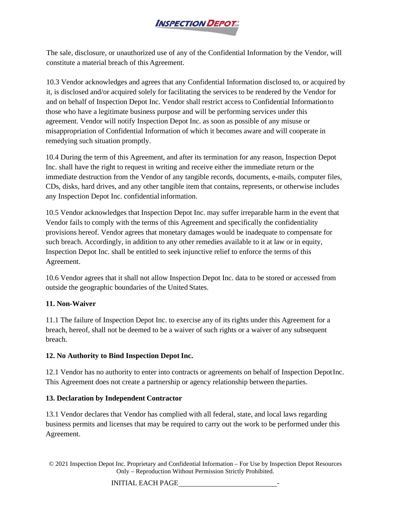

The sale, disclosure, or unauthorized use of any of the Confidential Information by the Vendor, will constitute a material breach of this Agreement.

10.3 Vendor acknowledges and agrees that any Confidential Information disclosed to, or acquired by it, is disclosed and/or acquired solely for facilitating the services to be rendered by the Vendor for and on behalf of Inspection Depot Inc. Vendor shall restrict access to Confidential Informationto those who have a legitimate business purpose and will be performing services under this agreement. Vendor will notify Inspection Depot Inc. as soon as possible of any misuse or misappropriation of Confidential Information of which it becomes aware and will cooperate in remedying such situation promptly.

10.4 During the term of this Agreement, and after its termination for any reason, Inspection Depot Inc. shall have the right to request in writing and receive either the immediate return or the immediate destruction from the Vendor of any tangible records, documents, e-mails, computer files, CDs, disks, hard drives, and any other tangible item that contains, represents, or otherwise includes any Inspection Depot Inc. confidential information.

10.5 Vendor acknowledges that Inspection Depot Inc. may suffer irreparable harm in the event that Vendor fails to comply with the terms of this Agreement and specifically the confidentiality provisions hereof. Vendor agrees that monetary damages would be inadequate to compensate for such breach. Accordingly, in addition to any other remedies available to it at law or in equity, Inspection Depot Inc. shall be entitled to seek injunctive relief to enforce the terms of this Agreement.

10.6 Vendor agrees that it shall not allow Inspection Depot Inc. data to be stored or accessed from outside the geographic boundaries of the United States.

# **11. Non-Waiver**

11.1 The failure of Inspection Depot Inc. to exercise any of its rights under this Agreement for a breach, hereof, shall not be deemed to be a waiver of such rights or a waiver of any subsequent breach.

# **12. No Authority to Bind Inspection Depot Inc.**

12.1 Vendor has no authority to enter into contracts or agreements on behalf of Inspection DepotInc. This Agreement does not create a partnership or agency relationship between theparties.

# **13. Declaration by Independent Contractor**

13.1 Vendor declares that Vendor has complied with all federal, state, and local laws regarding business permits and licenses that may be required to carry out the work to be performed under this Agreement.

© 2021 Inspection Depot Inc. Proprietary and Confidential Information – For Use by Inspection Depot Resources Only – Reproduction Without Permission Strictly Prohibited.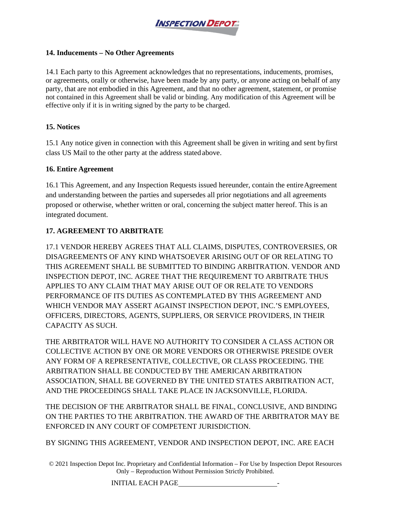

#### **14. Inducements – No Other Agreements**

14.1 Each party to this Agreement acknowledges that no representations, inducements, promises, or agreements, orally or otherwise, have been made by any party, or anyone acting on behalf of any party, that are not embodied in this Agreement, and that no other agreement, statement, or promise not contained in this Agreement shall be valid or binding. Any modification of this Agreement will be effective only if it is in writing signed by the party to be charged.

# **15. Notices**

15.1 Any notice given in connection with this Agreement shall be given in writing and sent byfirst class US Mail to the other party at the address stated above.

# **16. Entire Agreement**

16.1 This Agreement, and any Inspection Requests issued hereunder, contain the entireAgreement and understanding between the parties and supersedes all prior negotiations and all agreements proposed or otherwise, whether written or oral, concerning the subject matter hereof. This is an integrated document.

# **17. AGREEMENT TO ARBITRATE**

17.1 VENDOR HEREBY AGREES THAT ALL CLAIMS, DISPUTES, CONTROVERSIES, OR DISAGREEMENTS OF ANY KIND WHATSOEVER ARISING OUT OF OR RELATING TO THIS AGREEMENT SHALL BE SUBMITTED TO BINDING ARBITRATION. VENDOR AND INSPECTION DEPOT, INC. AGREE THAT THE REQUIREMENT TO ARBITRATE THUS APPLIES TO ANY CLAIM THAT MAY ARISE OUT OF OR RELATE TO VENDORS PERFORMANCE OF ITS DUTIES AS CONTEMPLATED BY THIS AGREEMENT AND WHICH VENDOR MAY ASSERT AGAINST INSPECTION DEPOT, INC.'S EMPLOYEES, OFFICERS, DIRECTORS, AGENTS, SUPPLIERS, OR SERVICE PROVIDERS, IN THEIR CAPACITY AS SUCH.

THE ARBITRATOR WILL HAVE NO AUTHORITY TO CONSIDER A CLASS ACTION OR COLLECTIVE ACTION BY ONE OR MORE VENDORS OR OTHERWISE PRESIDE OVER ANY FORM OF A REPRESENTATIVE, COLLECTIVE, OR CLASS PROCEEDING. THE ARBITRATION SHALL BE CONDUCTED BY THE AMERICAN ARBITRATION ASSOCIATION, SHALL BE GOVERNED BY THE UNITED STATES ARBITRATION ACT, AND THE PROCEEDINGS SHALL TAKE PLACE IN JACKSONVILLE, FLORIDA.

THE DECISION OF THE ARBITRATOR SHALL BE FINAL, CONCLUSIVE, AND BINDING ON THE PARTIES TO THE ARBITRATION. THE AWARD OF THE ARBITRATOR MAY BE ENFORCED IN ANY COURT OF COMPETENT JURISDICTION.

BY SIGNING THIS AGREEMENT, VENDOR AND INSPECTION DEPOT, INC. ARE EACH

© 2021 Inspection Depot Inc. Proprietary and Confidential Information – For Use by Inspection Depot Resources Only – Reproduction Without Permission Strictly Prohibited.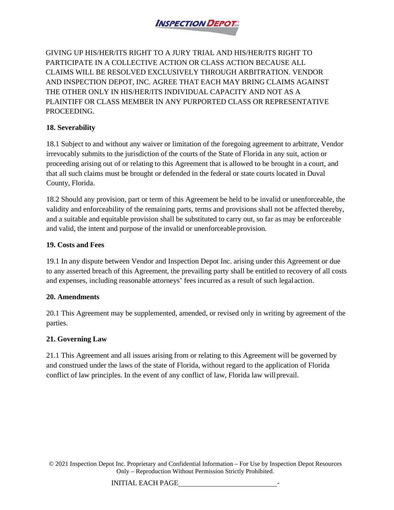

GIVING UP HIS/HER/ITS RIGHT TO A JURY TRIAL AND HIS/HER/ITS RIGHT TO PARTICIPATE IN A COLLECTIVE ACTION OR CLASS ACTION BECAUSE ALL CLAIMS WILL BE RESOLVED EXCLUSIVELY THROUGH ARBITRATION. VENDOR AND INSPECTION DEPOT, INC. AGREE THAT EACH MAY BRING CLAIMS AGAINST THE OTHER ONLY IN HIS/HER/ITS INDIVIDUAL CAPACITY AND NOT AS A PLAINTIFF OR CLASS MEMBER IN ANY PURPORTED CLASS OR REPRESENTATIVE PROCEEDING.

# **18. Severability**

18.1 Subject to and without any waiver or limitation of the foregoing agreement to arbitrate, Vendor irrevocably submits to the jurisdiction of the courts of the State of Florida in any suit, action or proceeding arising out of or relating to this Agreement that is allowed to be brought in a court, and that all such claims must be brought or defended in the federal or state courts located in Duval County, Florida.

18.2 Should any provision, part or term of this Agreement be held to be invalid or unenforceable, the validity and enforceability of the remaining parts, terms and provisions shall not be affected thereby, and a suitable and equitable provision shall be substituted to carry out, so far as may be enforceable and valid, the intent and purpose of the invalid or unenforceable provision.

# **19. Costs and Fees**

19.1 In any dispute between Vendor and Inspection Depot Inc. arising under this Agreement or due to any asserted breach of this Agreement, the prevailing party shall be entitled to recovery of all costs and expenses, including reasonable attorneys' fees incurred as a result of such legalaction.

# **20. Amendments**

20.1 This Agreement may be supplemented, amended, or revised only in writing by agreement of the parties.

# **21. Governing Law**

21.1 This Agreement and all issues arising from or relating to this Agreement will be governed by and construed under the laws of the state of Florida, without regard to the application of Florida conflict of law principles. In the event of any conflict of law, Florida law willprevail.